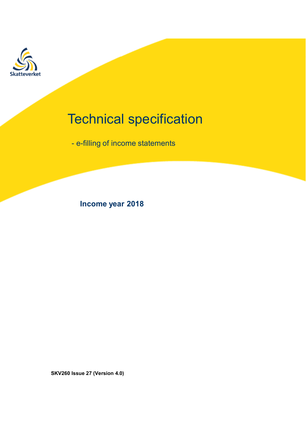

# Technical specification<br>- e-filling of income statements Fechnical specification<br>- e-filling of income statements<br>-External Specification<br>
Income statements<br>
Income year 2018<br>
Income year 2018

SKV260 Issue 27 (Version 4.0)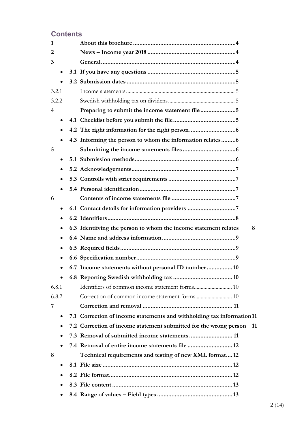# **Contents**

| 1     |           |                                                                         |
|-------|-----------|-------------------------------------------------------------------------|
| 2     |           |                                                                         |
| 3     |           |                                                                         |
|       | $\bullet$ |                                                                         |
|       |           |                                                                         |
| 3.2.1 |           |                                                                         |
| 3.2.2 |           |                                                                         |
| 4     |           |                                                                         |
|       | $\bullet$ |                                                                         |
|       | $\bullet$ |                                                                         |
|       | $\bullet$ | 4.3 Informing the person to whom the information relates6               |
| 5     |           |                                                                         |
|       | $\bullet$ |                                                                         |
|       | ٠         |                                                                         |
|       | $\bullet$ |                                                                         |
|       |           |                                                                         |
| 6     |           |                                                                         |
|       | $\bullet$ |                                                                         |
|       | $\bullet$ |                                                                         |
|       | ٠         | 6.3 Identifying the person to whom the income statement relates<br>8    |
|       | $\bullet$ |                                                                         |
|       | ٠         |                                                                         |
|       | $\bullet$ |                                                                         |
|       |           | 6.7 Income statements without personal ID number  10                    |
|       |           |                                                                         |
| 6.8.1 |           |                                                                         |
| 6.8.2 |           |                                                                         |
| 7     |           |                                                                         |
|       |           | 7.1 Correction of income statements and withholding tax information 11  |
|       |           | 7.2 Correction of income statement submitted for the wrong person<br>11 |
|       |           |                                                                         |
|       |           |                                                                         |
| 8     |           | Technical requirements and testing of new XML format12                  |
|       |           |                                                                         |
|       |           |                                                                         |
|       |           |                                                                         |
|       |           |                                                                         |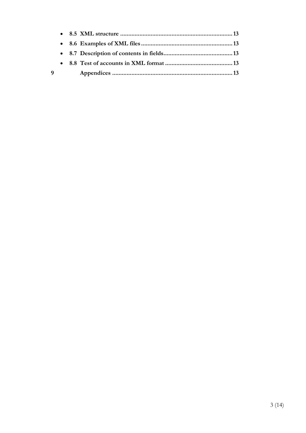| 9 |  |  |
|---|--|--|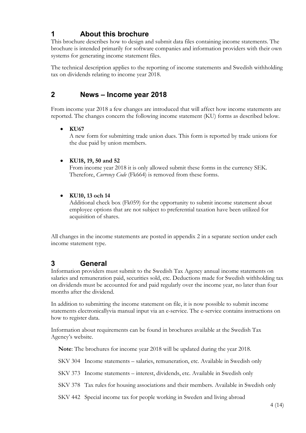# 1 About this brochure

This brochure describes how to design and submit data files containing income statements. The brochure is intended primarily for software companies and information providers with their own systems for generating income statement files.

The technical description applies to the reporting of income statements and Swedish withholding tax on dividends relating to income year 2018.

# 2 News – Income year 2018

From income year 2018 a few changes are introduced that will affect how income statements are reported. The changes concern the following income statement (KU) forms as described below.

### KU67

A new form for submitting trade union dues. This form is reported by trade unions for the due paid by union members.

### KU18, 19, 50 and 52

From income year 2018 it is only allowed submit these forms in the currency SEK. Therefore, *Currency Code* (Fk664) is removed from these forms.

### KU10, 13 och 14

Additional check box (Fk059) for the opportunity to submit income statement about employee options that are not subject to preferential taxation have been utilized for acquisition of shares.

All changes in the income statements are posted in appendix 2 in a separate section under each income statement type.

# 3 General

Information providers must submit to the Swedish Tax Agency annual income statements on salaries and remuneration paid, securities sold, etc. Deductions made for Swedish withholding tax on dividends must be accounted for and paid regularly over the income year, no later than four months after the dividend.

In addition to submitting the income statement on file, it is now possible to submit income statements electronicallyvia manual input via an e-service. The e-service contains instructions on how to register data.

Information about requirements can be found in brochures available at the Swedish Tax Agency's website.

Note: The brochures for income year 2018 will be updated during the year 2018.

SKV 304 Income statements – salaries, remuneration, etc. Available in Swedish only

SKV 373 Income statements – interest, dividends, etc. Available in Swedish only

SKV 378 Tax rules for housing associations and their members. Available in Swedish only

SKV 442 Special income tax for people working in Sweden and living abroad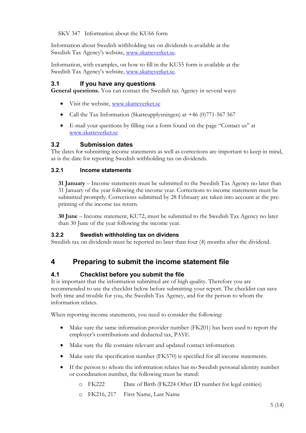SKV 347 Information about the KU66 form

Information about Swedish withholding tax on dividends is available at the Swedish Tax Agency's website, www.skatteverket.se.

Information, with examples, on how to fill in the KU55 form is available at the Swedish Tax Agency's website, www.skatteverket.se.

### 3.1 If you have any questions

General questions. You can contact the Swedish tax Agency in several ways:

- Visit the website, www.skatteverket.se
- Call the Tax Information (Skatteupplysningen) at +46 (0)771-567 567
- E-mail your questions by filling out a form found on the page "Contact us" at www.skatteverket.se

### 3.2 Submission dates

The dates for submitting income statements as well as corrections are important to keep in mind, as is the date for reporting Swedish withholding tax on dividends.

### 3.2.1 Income statements

31 January – Income statements must be submitted to the Swedish Tax Agency no later than 31 January of the year following the income year. Corrections to income statements must be submitted promptly. Corrections submitted by 28 February are taken into account at the preprinting of the income tax return.

30 June – Income statement, KU72, must be submitted to the Swedish Tax Agency no later than 30 June of the year following the income year.

### 3.2.2 Swedish withholding tax on dividens

Swedish tax on dividends must be reported no later than four (4) months after the dividend.

# 4 Preparing to submit the income statement file

### 4.1 Checklist before you submit the file

It is important that the information submitted are of high quality. Therefore you are recommended to use the checklist below before submitting your report. The checklist can save both time and trouble for you, the Swedish Tax Agency, and for the person to whom the information relates.

When reporting income statements, you need to consider the following:

- Make sure the same information provider number (FK201) has been used to report the employer's contributions and deducted tax, PAYE.
- Make sure the file contains relevant and updated contact information.
- Make sure the specification number (FK570) is specified for all income statements.
- If the person to whom the information relates has no Swedish personal identity number or coordination number, the following must be stated:
	- o FK222 Date of Birth (FK224 Other ID number for legal entities)
	- o FK216, 217 First Name, Last Name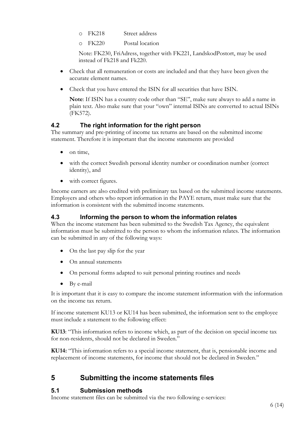- o FK218 Street address
- o FK220 Postal location

Note: FK230, FriAdress, together with FK221, LandskodPostort, may be used instead of Fk218 and Fk220.

- Check that all remuneration or costs are included and that they have been given the accurate element names.
- Check that you have entered the ISIN for all securities that have ISIN.

Note: If ISIN has a country code other than "SE", make sure always to add a name in plain text. Also make sure that your "own" internal ISINs are converted to actual ISINs (FK572).

### 4.2 The right information for the right person

The summary and pre-printing of income tax returns are based on the submitted income statement. Therefore it is important that the income statements are provided

- on time,
- with the correct Swedish personal identity number or coordination number (correct identity), and
- with correct figures.

Income earners are also credited with preliminary tax based on the submitted income statements. Employers and others who report information in the PAYE return, must make sure that the information is consistent with the submitted income statements.

### 4.3 Informing the person to whom the information relates

When the income statement has been submitted to the Swedish Tax Agency, the equivalent information must be submitted to the person to whom the information relates. The information can be submitted in any of the following ways:

- On the last pay slip for the year
- On annual statements
- On personal forms adapted to suit personal printing routines and needs
- By e-mail

It is important that it is easy to compare the income statement inforrmation with the information on the income tax return.

If income statement KU13 or KU14 has been submitted, the information sent to the employee must include a statement to the following effect:

KU13: "This information refers to income which, as part of the decision on special income tax for non-residents, should not be declared in Sweden."

KU14: "This information refers to a special income statement, that is, pensionable income and replacement of income statements, for income that should not be declared in Sweden."

# 5 Submitting the income statements files

### 5.1 Submission methods

Income statement files can be submitted via the two following e-services: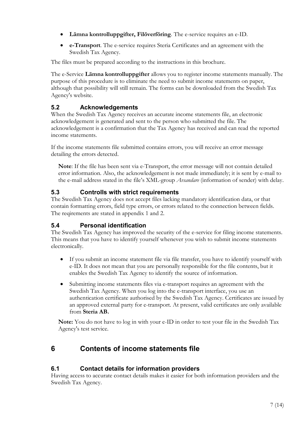- Lämna kontrolluppgifter, Filöverföring. The e-service requires an e-ID.
- e-Transport. The e-service requires Steria Certificates and an agreement with the Swedish Tax Agency.

The files must be prepared according to the instructions in this brochure.

The e-Service Lämna kontrolluppgifter allows you to register income statements manually. The purpose of this procedure is to eliminate the need to submit income statements on paper, although that possibility will still remain. The forms can be downloaded from the Swedish Tax Agency's website.

# 5.2 Acknowledgements

When the Swedish Tax Agency receives an accurate income statements file, an electronic acknowledgement is generated and sent to the person who submitted the file. The acknowledgement is a confirmation that the Tax Agency has received and can read the reported income statements.

If the income statements file submitted contains errors, you will receive an error message detailing the errors detected.

Note: If the file has been sent via e-Transport, the error message will not contain detailed error information. Also, the acknowledgement is not made immediately; it is sent by e-mail to the e-mail address stated in the file's XML-group *Avsandare* (information of sender) with delay.

### 5.3 Controlls with strict requirements

The Swedish Tax Agency does not accept files lacking mandatory identification data, or that contain formatting errors, field type errors, or errors related to the connection between fields. The reqirements are stated in appendix 1 and 2.

### 5.4 Personal identification

The Swedish Tax Agency has improved the security of the e-service for filing income statements. This means that you have to identify yourself whenever you wish to submit income statements electronically.

- If you submit an income statement file via file transfer, you have to identify yourself with e-ID. It does not mean that you are personally responsible for the file contents, but it enables the Swedish Tax Agency to identify the source of information.
- Submitting income statements files via e-transport requires an agreement with the Swedish Tax Agency. When you log into the e-transport interface, you use an authentication certificate authorised by the Swedish Tax Agency. Certificates are issued by an approved external party for e-transport. At present, valid certificates are only available from Steria AB.

Note: You do not have to log in with your e-ID in order to test your file in the Swedish Tax Agency's test service.

# 6 Contents of income statements file

### 6.1 Contact details for information providers

Having access to accurate contact details makes it easier for both information providers and the Swedish Tax Agency.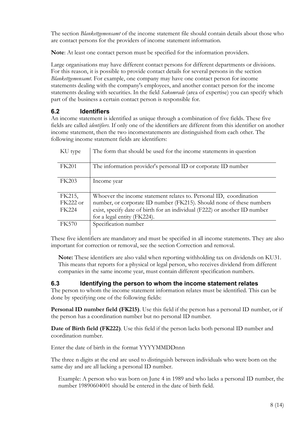The section *Blankettgemensamt* of the income statement file should contain details about those who are contact persons for the providers of income statement information.

Note: At least one contact person must be specified for the information providers.

Large organisations may have different contact persons for different departments or divisions. For this reason, it is possible to provide contact details for several persons in the section Blankettgemensamt. For example, one company may have one contact person for income statements dealing with the company's employees, and another contact person for the income statements dealing with securities. In the field *Sakomrade* (area of expertise) you can specify which part of the business a certain contact person is responsible for.

# 6.2 Identifiers

An income statement is identified as unique through a combination of five fields. These five fields are called identifiers. If only one of the identifiers are different from this identifier on another income statement, then the two incomestatements are distinguished from each other. The following income statement fields are identifiers:

| KU type      | The form that should be used for the income statements in question         |
|--------------|----------------------------------------------------------------------------|
| <b>FK201</b> | The information provider's personal ID or corporate ID number              |
| <b>FK203</b> | Income year                                                                |
| FK215,       | Whoever the income statement relates to. Personal ID, coordination         |
| $FK222$ or   | number, or corporate ID number (FK215). Should none of these numbers       |
| <b>FK224</b> | exist, specify date of birth for an individual (F222) or another ID number |
|              | for a legal entity (FK224).                                                |
| <b>FK570</b> | Specification number                                                       |

These five identifiers are mandatory and must be specified in all income statements. They are also important for correction or removal, see the section Correction and removal.

Note: These identifiers are also valid when reporting withholding tax on dividends on KU31. This means that reports for a physical or legal person, who receives dividend from different companies in the same income year, must contain different specification numbers.

### 6.3 Identifying the person to whom the income statement relates

The person to whom the income statement information relates must be identified. This can be done by specifying one of the following fields:

Personal ID number field (FK215). Use this field if the person has a personal ID number, or if the person has a coordination number but no personal ID number.

Date of Birth field (FK222). Use this field if the person lacks both personal ID number and coordination number.

Enter the date of birth in the format YYYYMMDDnnn

The three n digits at the end are used to distinguish between individuals who were born on the same day and are all lacking a personal ID number.

Example: A person who was born on June 4 in 1989 and who lacks a personal ID number, the number 19890604001 should be entered in the date of birth field.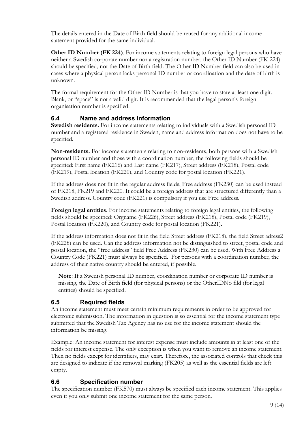The details entered in the Date of Birth field should be reused for any additional income statement provided for the same individual.

Other ID Number (FK 224). For income statements relating to foreign legal persons who have neither a Swedish corporate number nor a registration number, the Other ID Number (FK 224) should be specified, not the Date of Birth field. The Other ID Number field can also be used in cases where a physical person lacks personal ID number or coordination and the date of birth is unknown.

The formal requirement for the Other ID Number is that you have to state at least one digit. Blank, or "space" is not a valid digit. It is recommended that the legal person's foreign organisation number is specified.

### 6.4 Name and address information

Swedish residents. For income statements relating to individuals with a Swedish personal ID number and a registered residence in Sweden, name and address information does not have to be specified.

Non-residents. For income statements relating to non-residents, both persons with a Swedish personal ID number and those with a coordination number, the following fields should be specified: First name (FK216) and Last name (FK217), Street address (FK218), Postal code (FK219), Postal location (FK220), and Country code for postal location (FK221).

If the address does not fit in the regular address fields, Free address (FK230) can be used instead of FK218, FK219 and FK220. It could be a foreign address that are structured differently than a Swedish address. Country code (FK221) is compulsory if you use Free address.

Foreign legal entities. For income statements relating to foreign legal entities, the following fields should be specified: Orgname (FK226), Street address (FK218), Postal code (FK219), Postal location (FK220), and Country code for postal location (FK221).

If the address information does not fit in the field Street address (FK218), the field Street adress2 (FK228) can be used. Can the address information not be distinguished to street, postal code and postal location, the "free address" field Free Address (FK230) can be used. With Free Address a Country Code (FK221) must always be specified. For persons with a coordination number, the address of their native country should be entered, if possible.

Note: If a Swedish personal ID number, coordination number or corporate ID number is missing, the Date of Birth field (for physical persons) or the OtherIDNo fild (for legal entities) should be specified.

### 6.5 Required fields

An income statement must meet certain minimum requirements in order to be approved for electronic submission. The information in question is so essential for the income statement type submitted that the Swedish Tax Agency has no use for the income statement should the information be missing.

Example: An income statement for interest expense must include amounts in at least one of the fields for interest expense. The only exception is when you want to remove an income statement. Then no fields except for identifiers, may exist. Therefore, the associated controls that check this are designed to indicate if the removal marking (FK205) as well as the essential fields are left empty.

### 6.6 Specification number

The specification number (FK570) must always be specified each income statement. This applies even if you only submit one income statement for the same person.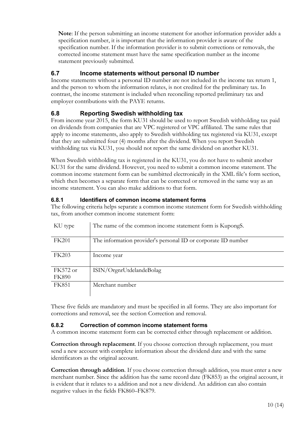Note: If the person submitting an income statement for another information provider adds a specification number, it is important that the information provider is aware of the specification number. If the information provider is to submit corrections or removals, the corrected income statement must have the same specification number as the income statement previously submitted.

# 6.7 Income statements without personal ID number

Income statements without a personal ID number are not included in the income tax return 1, and the person to whom the information relates, is not credited for the preliminary tax. In contrast, the income statement is included when reconciling reported preliminary tax and employer contributions with the PAYE returns.

# 6.8 Reporting Swedish withholding tax

From income year 2015, the form KU31 should be used to report Swedish withholding tax paid on dividends from companies that are VPC registered or VPC affiliated. The same rules that apply to income statements, also apply to Swedish withholding tax registered via KU31, except that they are submitted four (4) months after the dividend. When you report Swedish withholding tax via KU31, you should not report the same dividend on another KU31.

When Swedish withholding tax is registered in the KU31, you do not have to submit another KU31 for the same dividend. However, you need to submit a common income statement. The common income statement form can be sumbitted electronically in the XML file's form section, which then becomes a separate form that can be corrected or removed in the same way as an income statement. You can also make additions to that form.

### 6.8.1 Identifiers of common income statement forms

The following criteria helps separate a common income statement form for Swedish withholding tax, from another common income statement form:

| KU type                  | The name of the common income statement form is KupongS.      |
|--------------------------|---------------------------------------------------------------|
| FK201                    | The information provider's personal ID or corporate ID number |
| <b>FK203</b>             | Income year                                                   |
| FK572 or<br><b>FK890</b> | ISIN/OrgnrUtdelandeBolag                                      |
| <b>FK851</b>             | Merchant number                                               |

These five fields are mandatory and must be specified in all forms. They are also important for corrections and removal, see the section Correction and removal.

### 6.8.2 Correction of common income statement forms

A common income statement form can be corrected either through replacement or addition.

Correction through replacement. If you choose correction through replacement, you must send a new account with complete information about the dividend date and with the same identificators as the original account.

Correction through addition. If you choose correction through addition, you must enter a new merchant number. Since the addition has the same record date (FK853) as the original account, it is evident that it relates to a addition and not a new dividend. An addition can also contain negative values in the fields FK860–FK879.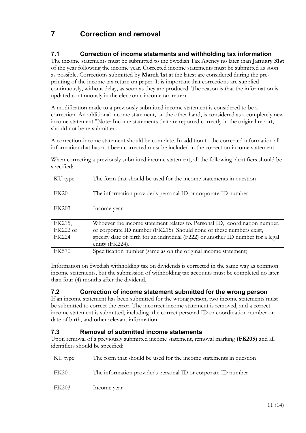# 7 Correction and removal

# 7.1 Correction of income statements and withholding tax information

The income statements must be submitted to the Swedish Tax Agency no later than January 31st of the year following the income year. Corrected income statements must be submitted as soon as possible. Corrections submitted by March 1st at the latest are considered during the preprinting of the income tax return on paper. It is important that corrections are supplied continuously, without delay, as soon as they are produced. The reason is that the information is updated continuously in the electronic income tax return.

A modification made to a previously submitted income statement is considered to be a correction. An additional income statement, on the other hand, is considered as a completely new income statement."Note: Income statements that are reported correctly in the original report, should not be re-submitted.

A correction-income statement should be complete. In addition to the corrected information all information that has not been corrected must be included in the correction-income statement.

When correcting a previously submitted income statement, all the following identifiers should be specified:

| KU type      | The form that should be used for the income statements in question              |
|--------------|---------------------------------------------------------------------------------|
| <b>FK201</b> | The information provider's personal ID or corporate ID number                   |
| <b>FK203</b> | Income year                                                                     |
| FK215,       | Whoever the income statement relates to. Personal ID, coordination number,      |
| $FK222$ or   | or corporate ID number (FK215). Should none of these numbers exist,             |
| FK224        | specify date of birth for an individual (F222) or another ID number for a legal |
|              | entity (FK224).                                                                 |
| <b>FK570</b> | Specification number (same as on the original income statement)                 |

Information on Swedish withholding tax on dividends is corrected in the same way as common income statements, but the submission of withholding tax accounts must be completed no later than four (4) months after the dividend.

### 7.2 Correction of income statement submitted for the wrong person

If an income statement has been submitted for the wrong person, two income statements must be submitted to correct the error. The incorrect income statement is removed, and a correct income statement is submitted, including the correct personal ID or coordination number or date of birth, and other relevant information.

### 7.3 Removal of submitted income statements

Upon removal of a previously submitted income statement, removal marking (FK205) and all identifiers should be specified:

| KU type      | The form that should be used for the income statements in question |
|--------------|--------------------------------------------------------------------|
| FK201        | The information provider's personal ID or corporate ID number      |
| <b>FK203</b> | Income year                                                        |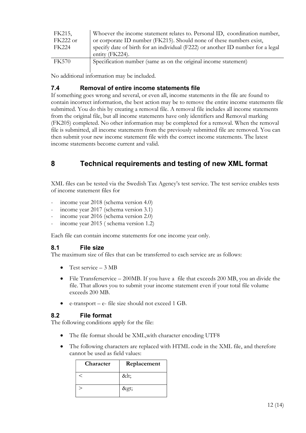| FK215,       | Whoever the income statement relates to. Personal ID, coordination number,      |
|--------------|---------------------------------------------------------------------------------|
| $FK222$ or   | or corporate ID number (FK215). Should none of these numbers exist,             |
| FK224        | specify date of birth for an individual (F222) or another ID number for a legal |
|              | entity (FK224).                                                                 |
| <b>FK570</b> | Specification number (same as on the original income statement)                 |
|              |                                                                                 |

No additional information may be included.

### 7.4 Removal of entire income statements file

If something goes wrong and several, or even all, income statements in the file are found to contain incorrect information, the best action may be to remove the entire income statements file submitted. You do this by creating a removal file. A removal file includes all income statements from the original file, but all income statements have only identifiers and Removal marking (FK205) completed. No other information may be completed for a removal. When the removal file is submitted, all income statements from the previously submitted file are removed. You can then submit your new income statement file with the correct income statements. The latest income statements become current and valid.

# 8 Technical requirements and testing of new XML format

XML files can be tested via the Swedish Tax Agency's test service. The test service enables tests of income statement files for

- income year 2018 (schema version 4.0)
- income year 2017 (schema version 3.1)
- income year 2016 (schema version 2.0)
- income year 2015 (schema version 1.2)

Each file can contain income statements for one income year only.

### 8.1 File size

The maximum size of files that can be transferred to each service are as follows:

- Test service 3 MB
- File Transferservice 200MB. If you have a file that exceeds 200 MB, you an divide the file. That allows you to submit your income statement even if your total file volume exceeds 200 MB.
- e-transport e- file size should not exceed 1 GB.

### 8.2 File format

The following conditions apply for the file:

- The file format should be XML,with character encoding UTF8
- The following characters are replaced with HTML code in the XML file, and therefore cannot be used as field values:

| Character | Replacement |
|-----------|-------------|
|           | <           |
|           | >           |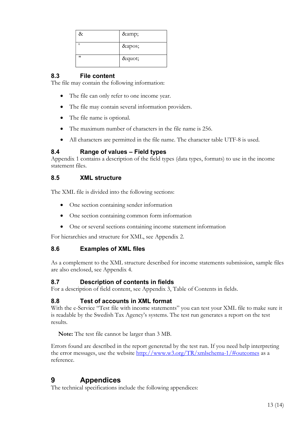| & | & |
|---|---|
|   | ' |
| " | " |

### 8.3 File content

The file may contain the following information:

- The file can only refer to one income year.
- The file may contain several information providers.
- The file name is optional.
- The maximum number of characters in the file name is 256.
- All characters are permitted in the file name. The character table UTF-8 is used.

### 8.4 Range of values – Field types

Appendix 1 contains a description of the field types (data types, formats) to use in the income statement files.

### 8.5 XML structure

The XML file is divided into the following sections:

- One section containing sender information
- One section containing common form information
- One or several sections containing income statement information

For hierarchies and structure for XML, see Appendix 2.

### 8.6 Examples of XML files

As a complement to the XML structure described for income statements submission, sample files are also enclosed, see Appendix 4.

### 8.7 Description of contents in fields

For a description of field content, see Appendix 3, Table of Contents in fields.

### 8.8 Test of accounts in XML format

With the e-Service "Test file with income statements" you can test your XML file to make sure it is readable by the Swedish Tax Agency's systems. The test run generates a report on the test results.

Note: The test file cannot be larger than 3 MB.

Errors found are described in the report generetad by the test run. If you need help interpreting the error messages, use the website http://www.w3.org/TR/xmlschema-1/#outcomes as a reference.

# 9 Appendices

The technical specifications include the following appendices: